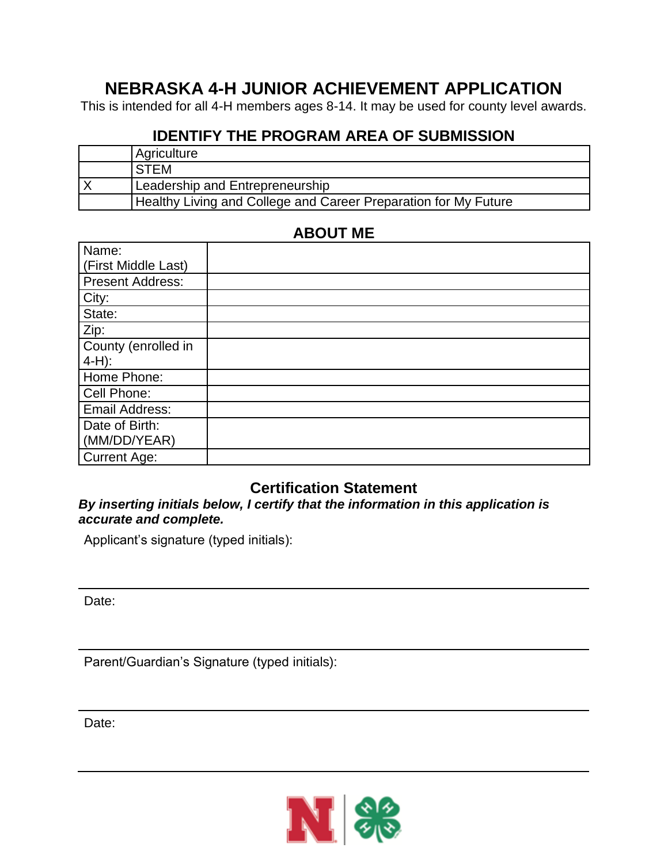# **NEBRASKA 4-H JUNIOR ACHIEVEMENT APPLICATION**

This is intended for all 4-H members ages 8-14. It may be used for county level awards.

#### **IDENTIFY THE PROGRAM AREA OF SUBMISSION**

| Agriculture                                                     |  |
|-----------------------------------------------------------------|--|
| <b>STEM</b>                                                     |  |
| Leadership and Entrepreneurship                                 |  |
| Healthy Living and College and Career Preparation for My Future |  |

## **ABOUT ME**

| Name:                   |  |
|-------------------------|--|
| (First Middle Last)     |  |
| <b>Present Address:</b> |  |
| City:                   |  |
| State:                  |  |
| Zip:                    |  |
| County (enrolled in     |  |
| $4-H$ ):                |  |
| Home Phone:             |  |
| Cell Phone:             |  |
| Email Address:          |  |
| Date of Birth:          |  |
| (MM/DD/YEAR)            |  |
| <b>Current Age:</b>     |  |

### **Certification Statement**

*By inserting initials below, I certify that the information in this application is accurate and complete.*

Applicant's signature (typed initials):

Date:

Parent/Guardian's Signature (typed initials):

Date:

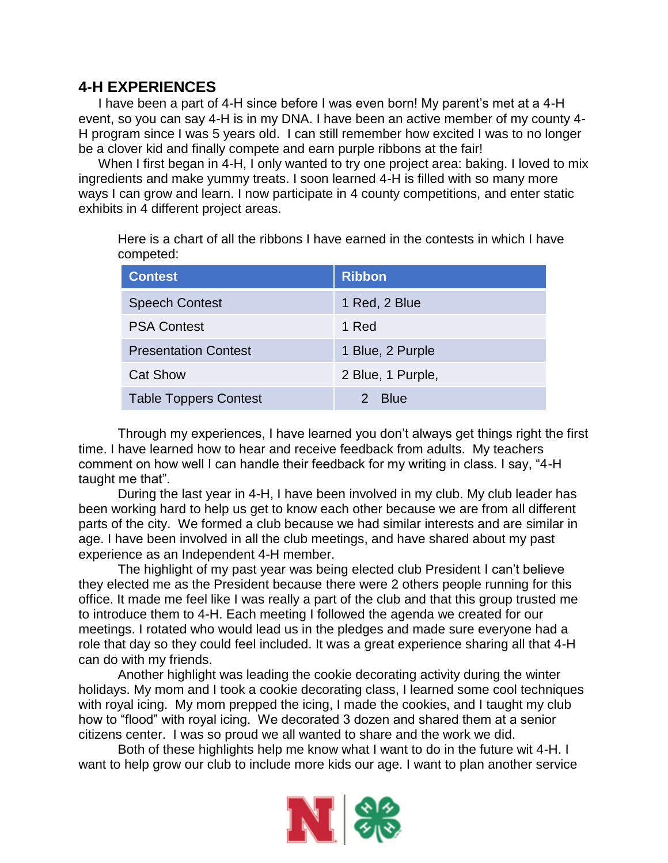#### **4-H EXPERIENCES**

I have been a part of 4-H since before I was even born! My parent's met at a 4-H event, so you can say 4-H is in my DNA. I have been an active member of my county 4- H program since I was 5 years old. I can still remember how excited I was to no longer be a clover kid and finally compete and earn purple ribbons at the fair!

When I first began in 4-H, I only wanted to try one project area: baking. I loved to mix ingredients and make yummy treats. I soon learned 4-H is filled with so many more ways I can grow and learn. I now participate in 4 county competitions, and enter static exhibits in 4 different project areas.

Here is a chart of all the ribbons I have earned in the contests in which I have competed:

| <b>Contest</b>               | <b>Ribbon</b>     |
|------------------------------|-------------------|
| <b>Speech Contest</b>        | 1 Red, 2 Blue     |
| <b>PSA Contest</b>           | 1 Red             |
| <b>Presentation Contest</b>  | 1 Blue, 2 Purple  |
| <b>Cat Show</b>              | 2 Blue, 1 Purple, |
| <b>Table Toppers Contest</b> | <b>Blue</b>       |

Through my experiences, I have learned you don't always get things right the first time. I have learned how to hear and receive feedback from adults. My teachers comment on how well I can handle their feedback for my writing in class. I say, "4-H taught me that".

During the last year in 4-H, I have been involved in my club. My club leader has been working hard to help us get to know each other because we are from all different parts of the city. We formed a club because we had similar interests and are similar in age. I have been involved in all the club meetings, and have shared about my past experience as an Independent 4-H member.

The highlight of my past year was being elected club President I can't believe they elected me as the President because there were 2 others people running for this office. It made me feel like I was really a part of the club and that this group trusted me to introduce them to 4-H. Each meeting I followed the agenda we created for our meetings. I rotated who would lead us in the pledges and made sure everyone had a role that day so they could feel included. It was a great experience sharing all that 4-H can do with my friends.

Another highlight was leading the cookie decorating activity during the winter holidays. My mom and I took a cookie decorating class, I learned some cool techniques with royal icing. My mom prepped the icing, I made the cookies, and I taught my club how to "flood" with royal icing. We decorated 3 dozen and shared them at a senior citizens center. I was so proud we all wanted to share and the work we did.

Both of these highlights help me know what I want to do in the future wit 4-H. I want to help grow our club to include more kids our age. I want to plan another service

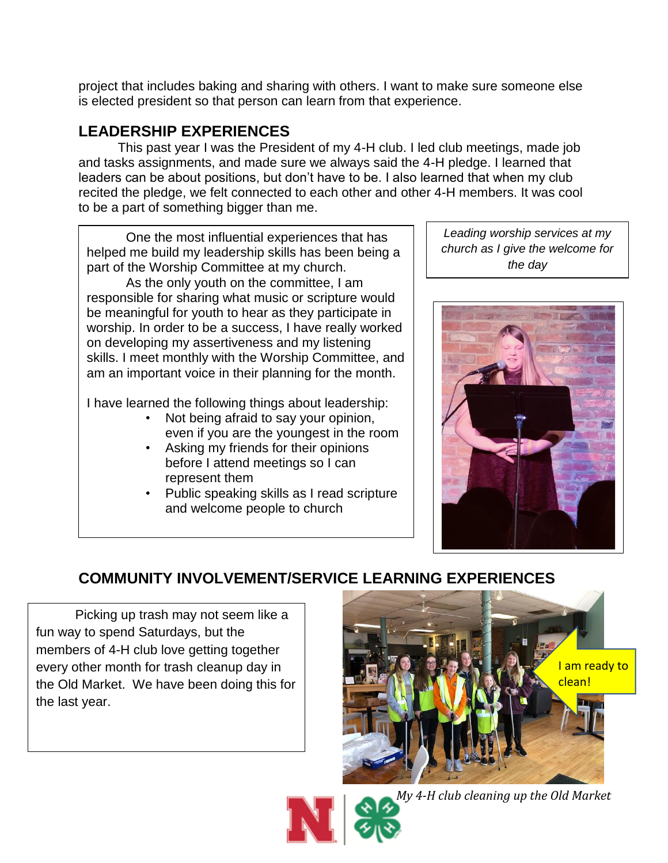project that includes baking and sharing with others. I want to make sure someone else is elected president so that person can learn from that experience.

# **LEADERSHIP EXPERIENCES**

This past year I was the President of my 4-H club. I led club meetings, made job and tasks assignments, and made sure we always said the 4-H pledge. I learned that leaders can be about positions, but don't have to be. I also learned that when my club recited the pledge, we felt connected to each other and other 4-H members. It was cool to be a part of something bigger than me.

One the most influential experiences that has helped me build my leadership skills has been being a part of the Worship Committee at my church.

As the only youth on the committee, I am responsible for sharing what music or scripture would be meaningful for youth to hear as they participate in worship. In order to be a success, I have really worked on developing my assertiveness and my listening skills. I meet monthly with the Worship Committee, and am an important voice in their planning for the month.

I have learned the following things about leadership:

- Not being afraid to say your opinion, even if you are the youngest in the room
- Asking my friends for their opinions before I attend meetings so I can represent them
- Public speaking skills as I read scripture and welcome people to church

*Leading worship services at my church as I give the welcome for the day*



# **COMMUNITY INVOLVEMENT/SERVICE LEARNING EXPERIENCES**

Picking up trash may not seem like a fun way to spend Saturdays, but the members of 4-H club love getting together every other month for trash cleanup day in the Old Market. We have been doing this for the last year.